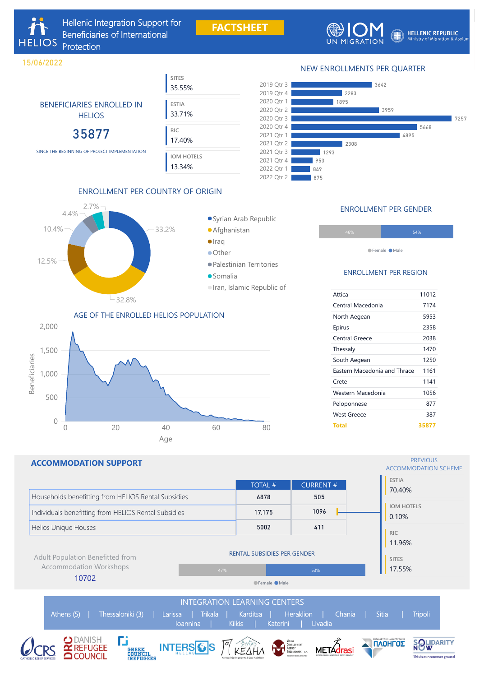## NEW ENROLLMENTS PER QUARTER



**FACTSHEET**



**HELLENIC REPUBLIC** Ministry of Migration & Asylum

# ENROLLMENT PER COUNTRY OF ORIGIN



# Syrian Arab Republic

- Afghanistan
- 
- Palestinian Territories
- Somalia
- Iran, Islamic Republic of

**SITES**

35.55%

**ESTIA**

33.71%

**RIC**

17.40%

**IOM HOTELS**

13.34%

BENEFICIARIES ENROLLED IN

**HELIOS** 

35877

#### **PREVIOUS** ACCOMMODATION SCHEME

### AGE OF THE ENROLLED HELIOS POPULATION





### ENROLLMENT PER REGION

| Attica                       | 11012 |
|------------------------------|-------|
| Central Macedonia            | 7174  |
| North Aegean                 | 5953  |
| Epirus                       | 2358  |
| <b>Central Greece</b>        | 2038  |
| Thessaly                     | 1470  |
| South Aegean                 | 1250  |
| Eastern Macedonia and Thrace | 1161  |
| Crete                        | 1141  |
| Western Macedonia            | 1056  |
| Peloponnese                  | 877   |
| West Greece                  | 387   |
| <b>Total</b>                 | 35877 |

### ENROLLMENT PER GENDER

| 46% | 54% |
|-----|-----|
|     |     |
|     |     |

●Female ●Male

## **ACCOMMODATION SUPPORT**

SINCE THE BEGINNING OF PROJECT IMPLEMENTATION

**HELIOS** 

15/06/2022